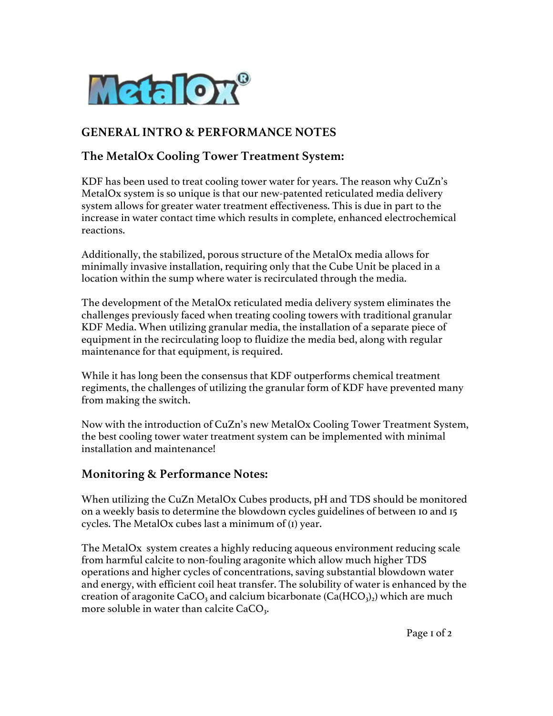

## **GENERAL INTRO & PERFORMANCE NOTES**

## **The MetalOx Cooling Tower Treatment System:**

KDF has been used to treat cooling tower water for years. The reason why CuZn's MetalOx system is so unique is that our new-patented reticulated media delivery system allows for greater water treatment effectiveness. This is due in part to the increase in water contact time which results in complete, enhanced electrochemical reactions.

Additionally, the stabilized, porous structure of the MetalOx media allows for minimally invasive installation, requiring only that the Cube Unit be placed in a location within the sump where water is recirculated through the media.

The development of the MetalOx reticulated media delivery system eliminates the challenges previously faced when treating cooling towers with traditional granular KDF Media. When utilizing granular media, the installation of a separate piece of equipment in the recirculating loop to fluidize the media bed, along with regular maintenance for that equipment, is required.

While it has long been the consensus that KDF outperforms chemical treatment regiments, the challenges of utilizing the granular form of KDF have prevented many from making the switch.

Now with the introduction of CuZn's new MetalOx Cooling Tower Treatment System, the best cooling tower water treatment system can be implemented with minimal installation and maintenance!

## **Monitoring & Performance Notes:**

When utilizing the CuZn MetalOx Cubes products, pH and TDS should be monitored on a weekly basis to determine the blowdown cycles guidelines of between 10 and 15 cycles. The MetalOx cubes last a minimum of (1) year.

The MetalOx system creates a highly reducing aqueous environment reducing scale from harmful calcite to non-fouling aragonite which allow much higher TDS operations and higher cycles of concentrations, saving substantial blowdown water and energy, with efficient coil heat transfer. The solubility of water is enhanced by the creation of aragonite CaCO<sub>3</sub> and calcium bicarbonate (Ca(HCO<sub>3</sub>)<sub>2</sub>) which are much more soluble in water than calcite  $CaCO<sub>3</sub>$ .